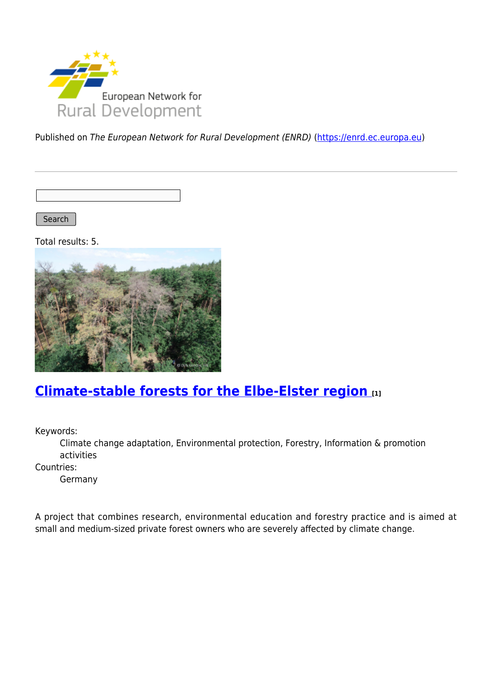

Published on The European Network for Rural Development (ENRD) [\(https://enrd.ec.europa.eu](https://enrd.ec.europa.eu))

Search |

Total results: 5.



# **[Climate-stable forests for the Elbe-Elster region](https://enrd.ec.europa.eu/projects-practice/climate-stable-forests-elbe-elster-region_en) [1]**

Keywords:

Climate change adaptation, Environmental protection, Forestry, Information & promotion activities

Countries:

Germany

A project that combines research, environmental education and forestry practice and is aimed at small and medium-sized private forest owners who are severely affected by climate change.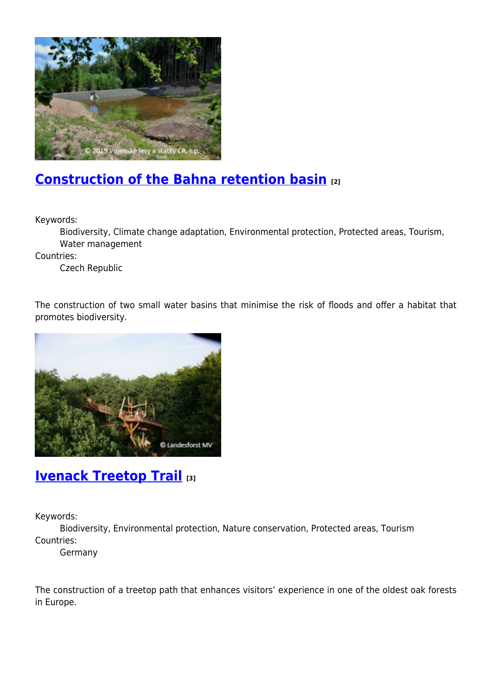

# **[Construction of the Bahna retention basin](https://enrd.ec.europa.eu/projects-practice/construction-bahna-retention-basin_en) [2]**

Keywords:

Biodiversity, Climate change adaptation, Environmental protection, Protected areas, Tourism, Water management

Countries:

Czech Republic

The construction of two small water basins that minimise the risk of floods and offer a habitat that promotes biodiversity.



### **[Ivenack Treetop Trail](https://enrd.ec.europa.eu/projects-practice/ivenack-treetop-trail_en) [3]**

Keywords:

Biodiversity, Environmental protection, Nature conservation, Protected areas, Tourism Countries:

Germany

The construction of a treetop path that enhances visitors' experience in one of the oldest oak forests in Europe.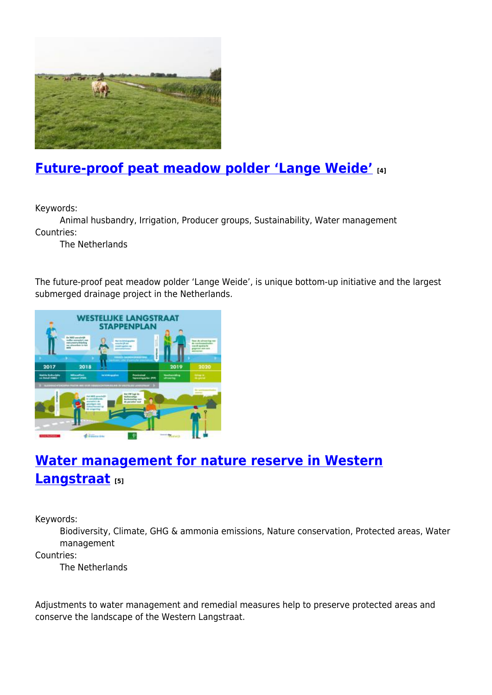

### **[Future-proof peat meadow polder 'Lange Weide'](https://enrd.ec.europa.eu/projects-practice/future-proof-peat-meadow-polder-lange-weide_en) [4]**

Keywords:

Animal husbandry, Irrigation, Producer groups, Sustainability, Water management Countries:

The Netherlands

The future-proof peat meadow polder 'Lange Weide', is unique bottom-up initiative and the largest submerged drainage project in the Netherlands.



# **[Water management for nature reserve in Western](https://enrd.ec.europa.eu/projects-practice/water-management-nature-reserve-western-langstraat_en) [Langstraat](https://enrd.ec.europa.eu/projects-practice/water-management-nature-reserve-western-langstraat_en) [5]**

Keywords:

Biodiversity, Climate, GHG & ammonia emissions, Nature conservation, Protected areas, Water management

Countries:

The Netherlands

Adjustments to water management and remedial measures help to preserve protected areas and conserve the landscape of the Western Langstraat.